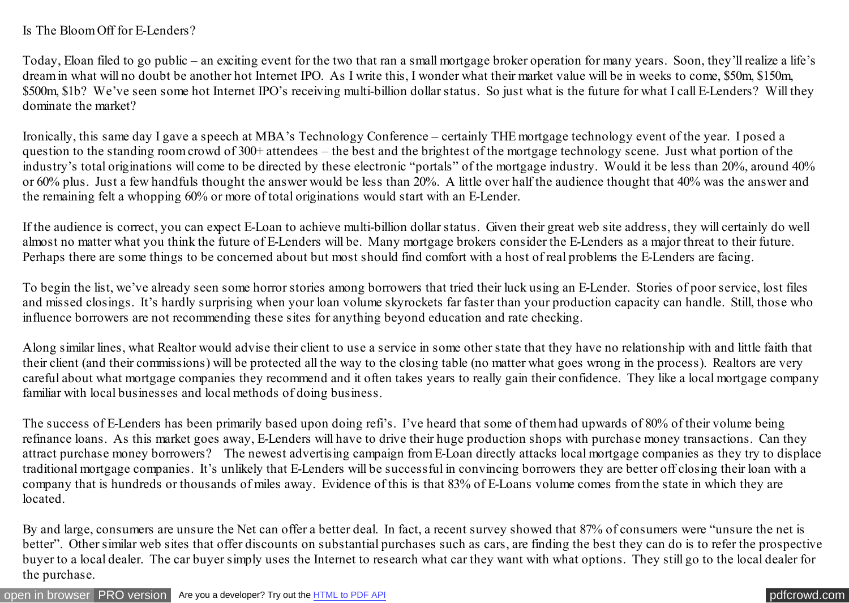## Is The Bloom Off for E-Lenders?

Today, Eloan filed to go public – an exciting event for the two that ran a small mortgage broker operation for many years. Soon, they'll realize a life's dream in what will no doubt be another hot Internet IPO. As I write this, I wonder what their market value will be in weeks to come, \$50m, \$150m, \$500m, \$1b? We've seen some hot Internet IPO's receiving multi-billion dollar status. So just what is the future for what I call E-Lenders? Will they dominate the market?

Ironically, this same day I gave a speech at MBA's Technology Conference – certainly THE mortgage technology event of the year. I posed a question to the standing room crowd of 300+ attendees – the best and the brightest of the mortgage technology scene. Just what portion of the industry's total originations will come to be directed by these electronic "portals" of the mortgage industry. Would it be less than 20%, around 40% or 60% plus. Just a few handfuls thought the answer would be less than 20%. A little over half the audience thought that 40% was the answer and the remaining felt a whopping 60% or more of total originations would start with an E-Lender.

If the audience is correct, you can expect E-Loan to achieve multi-billion dollar status. Given their great web site address, they will certainly do well almost no matter what you think the future of E-Lenders will be. Many mortgage brokers consider the E-Lenders as a major threat to their future. Perhaps there are some things to be concerned about but most should find comfort with a host of real problems the E-Lenders are facing.

To begin the list, we've already seen some horror stories among borrowers that tried their luck using an E-Lender. Stories of poor service, lost files and missed closings. It's hardly surprising when your loan volume skyrockets far faster than your production capacity can handle. Still, those who influence borrowers are not recommending these sites for anything beyond education and rate checking.

Along similar lines, what Realtor would advise their client to use a service in some other state that they have no relationship with and little faith that their client (and their commissions) will be protected all the way to the closing table (no matter what goes wrong in the process). Realtors are very careful about what mortgage companies they recommend and it often takes years to really gain their confidence. They like a local mortgage company familiar with local businesses and local methods of doing business.

The success of E-Lenders has been primarily based upon doing refi's. I've heard that some of them had upwards of 80% of their volume being refinance loans. As this market goes away, E-Lenders will have to drive their huge production shops with purchase money transactions. Can they attract purchase money borrowers? The newest advertising campaign from E-Loan directly attacks local mortgage companies as they try to displace traditional mortgage companies. It's unlikely that E-Lenders will be successful in convincing borrowers they are better off closing their loan with a company that is hundreds or thousands of miles away. Evidence of this is that 83% of E-Loans volume comes from the state in which they are located.

By and large, consumers are unsure the Net can offer a better deal. In fact, a recent survey showed that 87% of consumers were "unsure the net is better". Other similar web sites that offer discounts on substantial purchases such as cars, are finding the best they can do is to refer the prospective buyer to a local dealer. The car buyer simply uses the Internet to research what car they want with what options. They still go to the local dealer for the purchase.